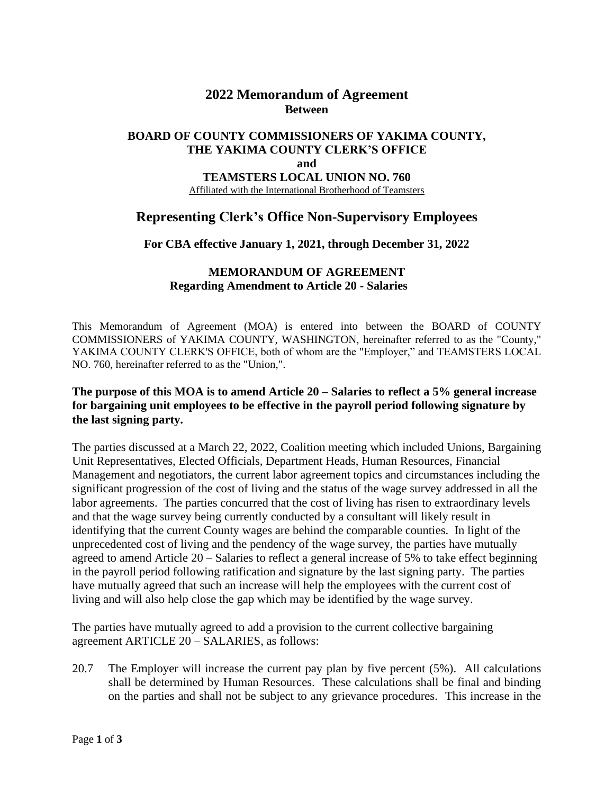## **2022 Memorandum of Agreement Between**

#### **BOARD OF COUNTY COMMISSIONERS OF YAKIMA COUNTY, THE YAKIMA COUNTY CLERK'S OFFICE and TEAMSTERS LOCAL UNION NO. 760** Affiliated with the International Brotherhood of Teamsters

## **Representing Clerk's Office Non-Supervisory Employees**

**For CBA effective January 1, 2021, through December 31, 2022**

#### **MEMORANDUM OF AGREEMENT Regarding Amendment to Article 20 - Salaries**

This Memorandum of Agreement (MOA) is entered into between the BOARD of COUNTY COMMISSIONERS of YAKIMA COUNTY, WASHINGTON, hereinafter referred to as the "County," YAKIMA COUNTY CLERK'S OFFICE, both of whom are the "Employer," and TEAMSTERS LOCAL NO. 760, hereinafter referred to as the "Union,".

### **The purpose of this MOA is to amend Article 20 – Salaries to reflect a 5% general increase for bargaining unit employees to be effective in the payroll period following signature by the last signing party.**

The parties discussed at a March 22, 2022, Coalition meeting which included Unions, Bargaining Unit Representatives, Elected Officials, Department Heads, Human Resources, Financial Management and negotiators, the current labor agreement topics and circumstances including the significant progression of the cost of living and the status of the wage survey addressed in all the labor agreements. The parties concurred that the cost of living has risen to extraordinary levels and that the wage survey being currently conducted by a consultant will likely result in identifying that the current County wages are behind the comparable counties. In light of the unprecedented cost of living and the pendency of the wage survey, the parties have mutually agreed to amend Article 20 – Salaries to reflect a general increase of 5% to take effect beginning in the payroll period following ratification and signature by the last signing party. The parties have mutually agreed that such an increase will help the employees with the current cost of living and will also help close the gap which may be identified by the wage survey.

The parties have mutually agreed to add a provision to the current collective bargaining agreement ARTICLE 20 – SALARIES, as follows:

20.7 The Employer will increase the current pay plan by five percent (5%). All calculations shall be determined by Human Resources. These calculations shall be final and binding on the parties and shall not be subject to any grievance procedures. This increase in the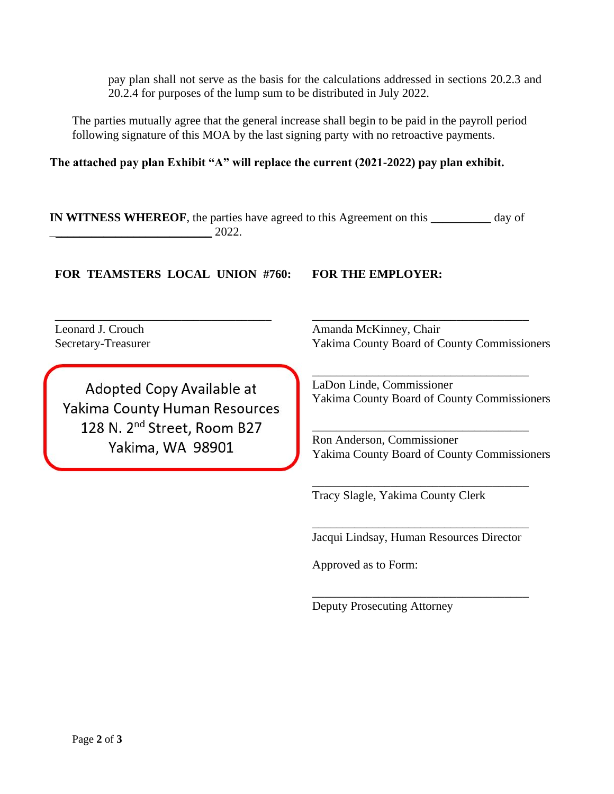pay plan shall not serve as the basis for the calculations addressed in sections 20.2.3 and 20.2.4 for purposes of the lump sum to be distributed in July 2022.

The parties mutually agree that the general increase shall begin to be paid in the payroll period following signature of this MOA by the last signing party with no retroactive payments.

**The attached pay plan Exhibit "A" will replace the current (2021-2022) pay plan exhibit.** 

**IN WITNESS WHEREOF**, the parties have agreed to this Agreement on this **\_\_\_\_\_\_\_\_\_\_** day of  $2022.$ 

**FOR TEAMSTERS LOCAL UNION #760: FOR THE EMPLOYER:**

\_\_\_\_\_\_\_\_\_\_\_\_\_\_\_\_\_\_\_\_\_\_\_\_\_\_\_\_\_\_\_\_\_\_\_\_

Leonard J. Crouch Secretary-Treasurer

Adopted Copy Available at Yakima County Human Resources 128 N. 2<sup>nd</sup> Street, Room B27 Yakima, WA 98901

Amanda McKinney, Chair Yakima County Board of County Commissioners

\_\_\_\_\_\_\_\_\_\_\_\_\_\_\_\_\_\_\_\_\_\_\_\_\_\_\_\_\_\_\_\_\_\_\_\_

\_\_\_\_\_\_\_\_\_\_\_\_\_\_\_\_\_\_\_\_\_\_\_\_\_\_\_\_\_\_\_\_\_\_\_\_ LaDon Linde, Commissioner Yakima County Board of County Commissioners

Ron Anderson, Commissioner Yakima County Board of County Commissioners

\_\_\_\_\_\_\_\_\_\_\_\_\_\_\_\_\_\_\_\_\_\_\_\_\_\_\_\_\_\_\_\_\_\_\_\_

\_\_\_\_\_\_\_\_\_\_\_\_\_\_\_\_\_\_\_\_\_\_\_\_\_\_\_\_\_\_\_\_\_\_\_\_

Tracy Slagle, Yakima County Clerk

\_\_\_\_\_\_\_\_\_\_\_\_\_\_\_\_\_\_\_\_\_\_\_\_\_\_\_\_\_\_\_\_\_\_\_\_ Jacqui Lindsay, Human Resources Director

\_\_\_\_\_\_\_\_\_\_\_\_\_\_\_\_\_\_\_\_\_\_\_\_\_\_\_\_\_\_\_\_\_\_\_\_

Approved as to Form:

Deputy Prosecuting Attorney